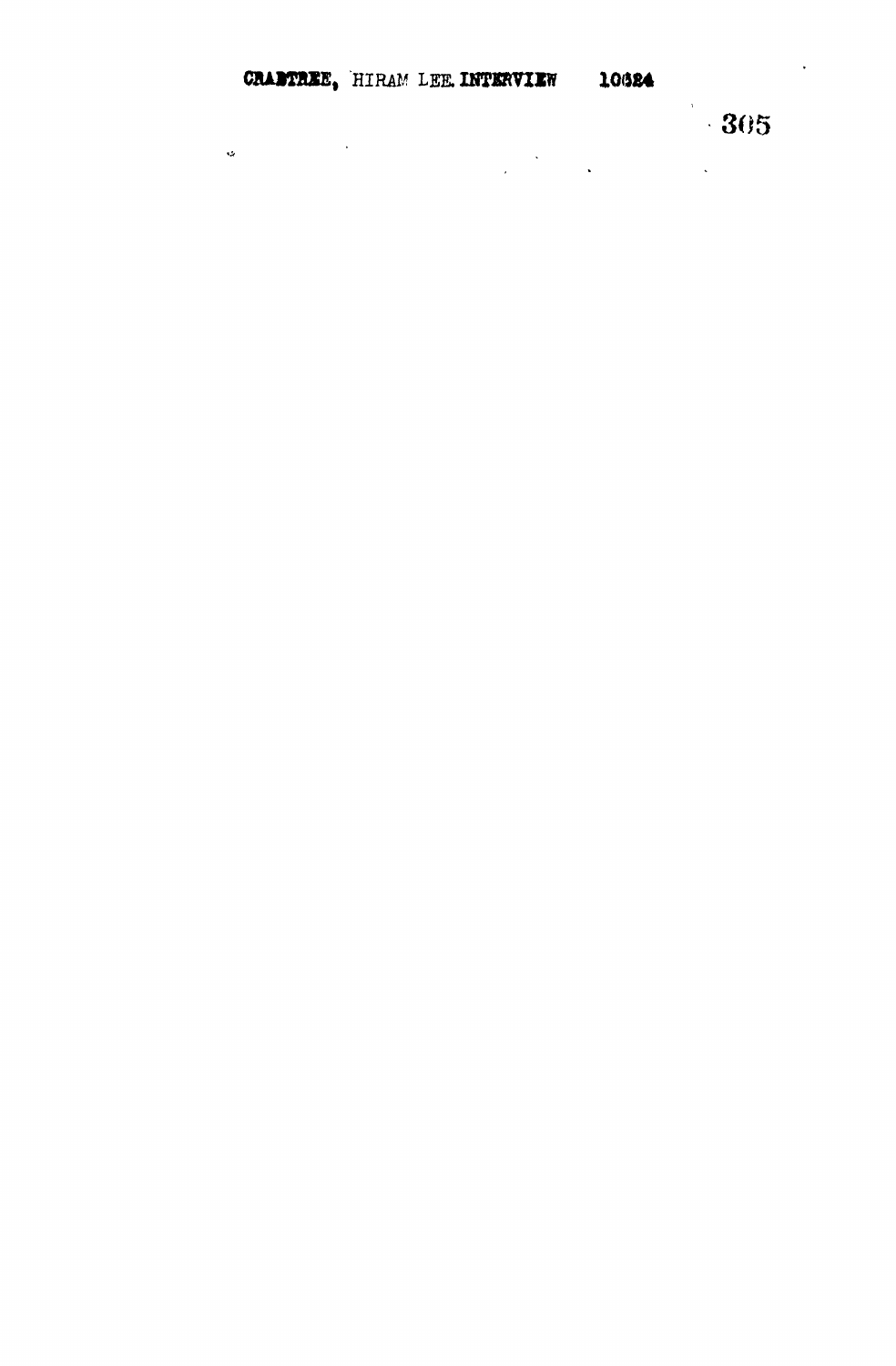$\frac{1}{2}$  305  $\sim 10^{11}$  $\hat{\mathbf{Q}}_{\text{max}}$  and  $\hat{\mathbf{Q}}_{\text{max}}$  $\frac{1}{2} \left( \frac{1}{2} \sum_{i=1}^{n} \frac{1}{2} \sum_{j=1}^{n} \frac{1}{2} \right) \left( \frac{1}{2} \sum_{i=1}^{n} \frac{1}{2} \right)$  $\mathcal{L}^{\text{max}}_{\text{max}}$ 

 $\ddot{\phantom{a}}$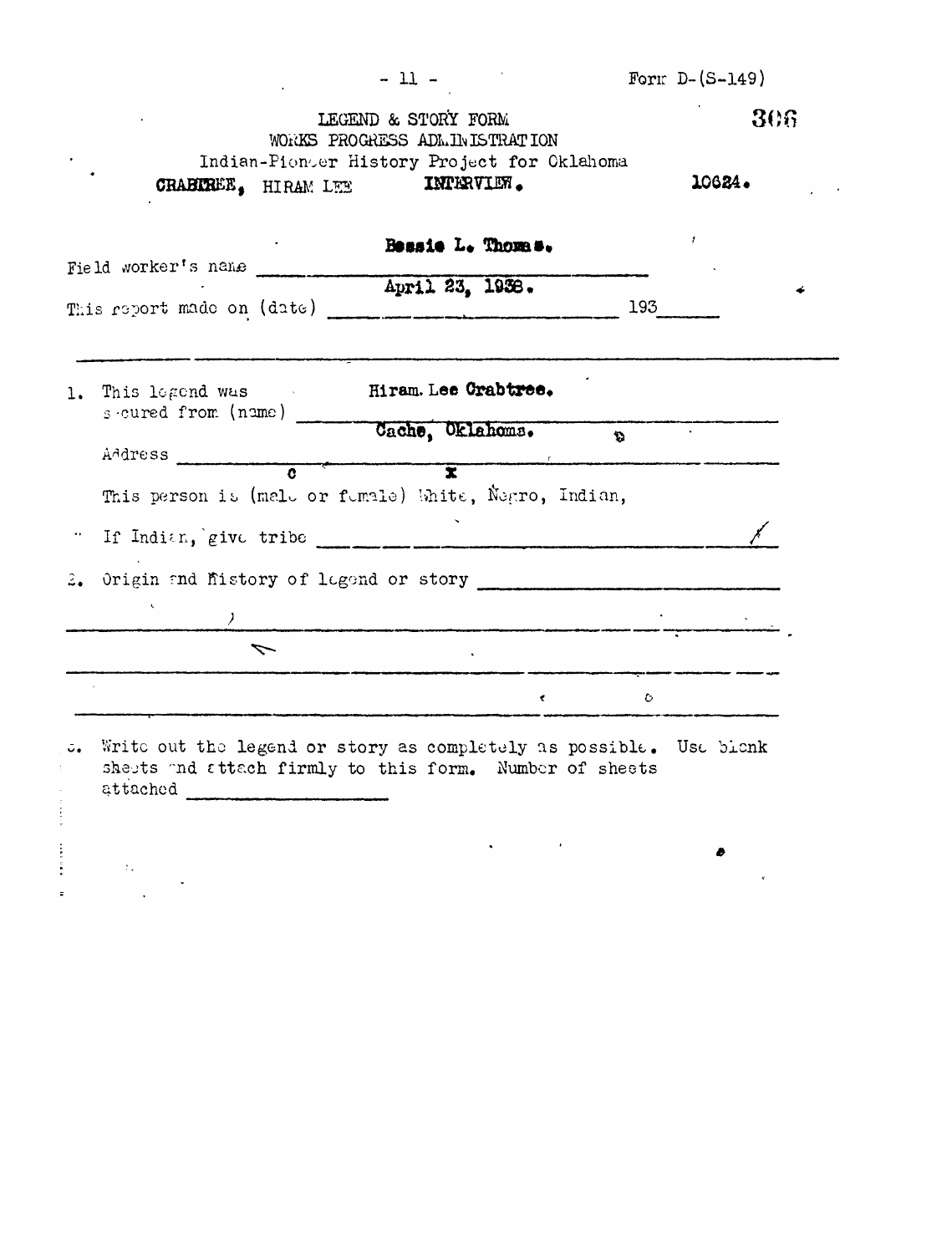|                                                       | $-11 -$                                                                                                                                                                                                      | Form $D-(S-149)$    |
|-------------------------------------------------------|--------------------------------------------------------------------------------------------------------------------------------------------------------------------------------------------------------------|---------------------|
|                                                       | LEGEND & STORY FORM<br>WORKS PROGRESS ADMINISTRATION<br>Indian-Pioncer History Project for Oklahoma<br>CRABIREE, HIRAM LEE INTERVIEW.                                                                        | 306<br>10624.       |
|                                                       | Bessie L. Thomas.<br>Field worker's name April 23, 1938.<br>193                                                                                                                                              |                     |
| 1.                                                    | This logond was <b>Hiram. Lee Crabtree.</b><br>This ignored from (name) Cache, Oklahoms.<br>$\mathbf{D}$<br>$\overline{c}$ $\overline{x}$<br>Adress<br>This person is (male or female) White, Negro, Indian, |                     |
| 2.                                                    | If Indian, give tribe<br>.<br>Maaadan Waliogu Qabiyihiyamadu Willigus Maandhiyiyaya williyaanadiisiin qadaamiiniyya xiyiisiin xanabar 400 qubma                                                              |                     |
|                                                       | O.<br>÷.                                                                                                                                                                                                     |                     |
| $\tilde{\mathbf{u}}$<br>$\alpha$ is a set of $\alpha$ | Write out the legend or story as completely as possible. Use bienk<br>sheets and attach firmly to this form. Number of sheets                                                                                |                     |
|                                                       | $\mathbf{q} = \left( \begin{array}{ccc} 0 & 0 & 0 \\ 0 & 0 & 0 \\ 0 & 0 & 0 \end{array} \right)$<br>$\sim 2.1$                                                                                               | Ð<br>$\mathbf{c}$ . |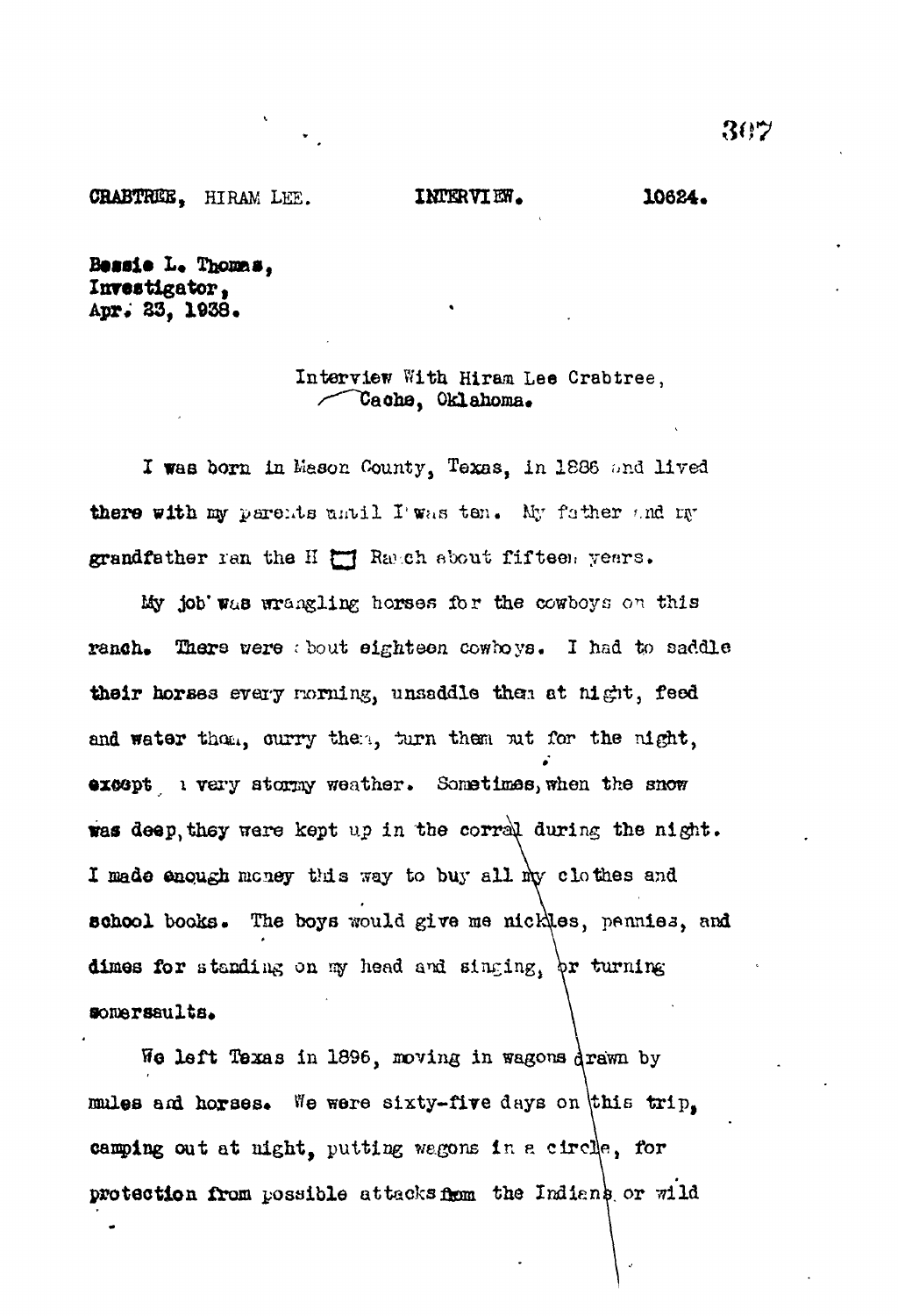INTERVIEW.

10624.

Bessie L. Thomas. Investigator. Apr. 33, 1938.

## Interview With Hiram Lee Crabtree, Cache, Oklahoma.

I was born in Mason County, Texas, in 1886 and lived there with my parents until I'was ten. My father and my grandfather ran the H [ ] Ranch sbout fifteen years.

My job was wrangling horses for the cowboys on this There were about eighteen cowboys. I had to saddle ranch. their horses every morning, unsaddle then at night, feed and water then, curry then, turn them wt for the night, except I very stormy weather. Sometimes, when the snow was deep, they were kept up in the correl during the night. I made enough money this way to buy all my clothes and school books. The boys would give me nickles, pennies, and dimes for standing on my head and singing, or turning somersaults.

We left Texas in 1896, moving in wagons drawn by mules and horses. We were sixty-five days on this trip. camping out at night, putting wegons in a circle, for protection from possible attacks from the Indiana or wild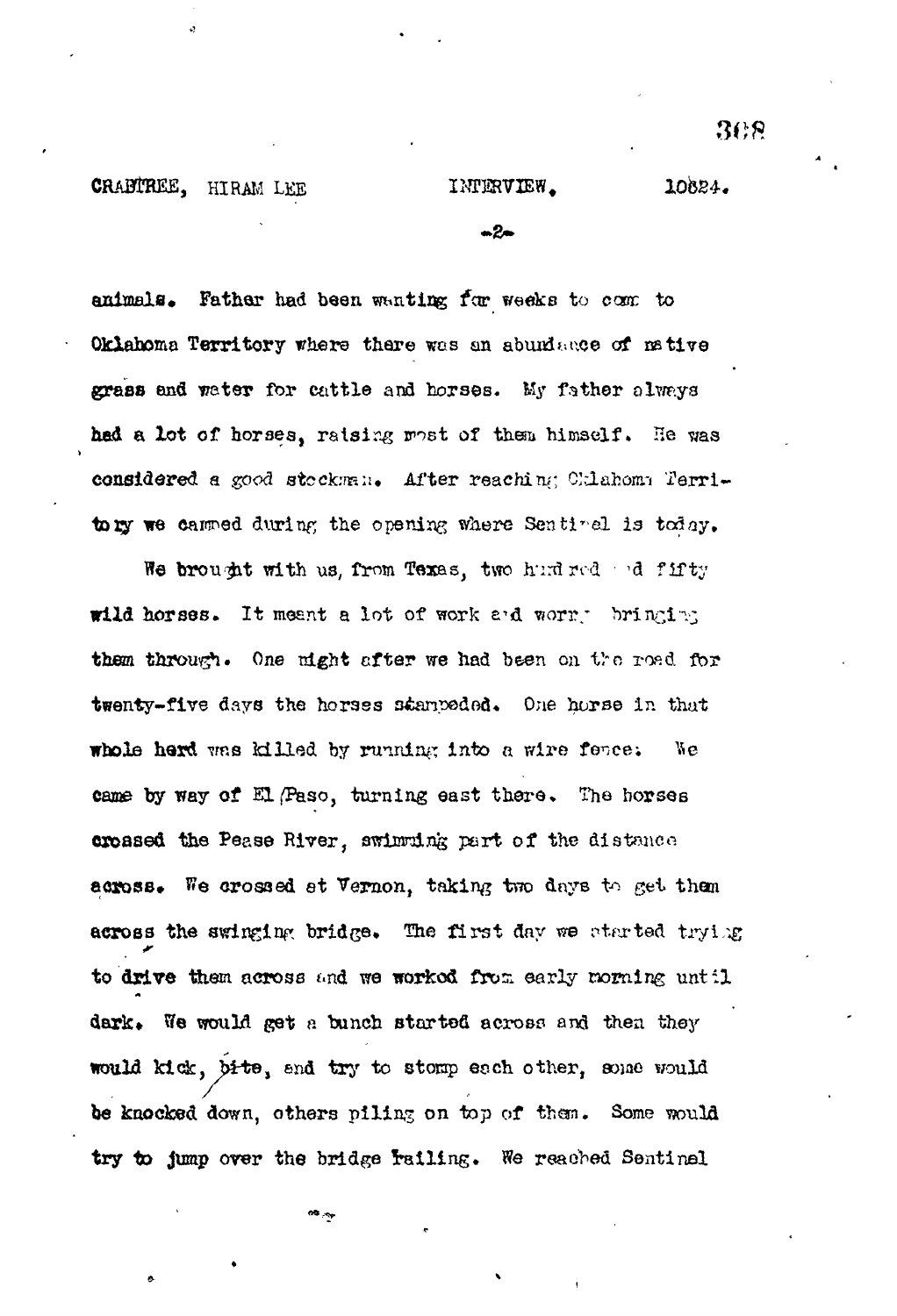## CRABIREE, HIRAM LEE INTERVIEW. 10824.

 $-2-$ 

animals. Father had been wanting for weeks to come to Oklahoma Territory where there was an abundance of native grass end water for cattle and horses. My father always had a lot of horses, raising most of them himself. He was considered a good stcckraiu After reaching CIJLahonn Territory we canned during the opening where Sentinel is today.

We brought with us, from Texas, two hurd rod 'd fifty wild horses. It meent a lot of work and worry bringing them through. One might after we had been on the road for twenty-five days the horses stanpeded. One horse in that whole herd was killed by running into a wire fence: We came by way of El (Paso, turning east there. The horses cioaaed the Pease River, swimming part of the distance across. We crossed at Vernon, taking two days to get them across the swinging bridge. The first day we started trying to drive them across and we worked from early morning until  $dark*$  We would get a bunch started across and then they would kick, bite, and try to stomp each other, some would be knocked down, others piling on top of them. Some would try to jump over the bridge railing. We reached Sentinel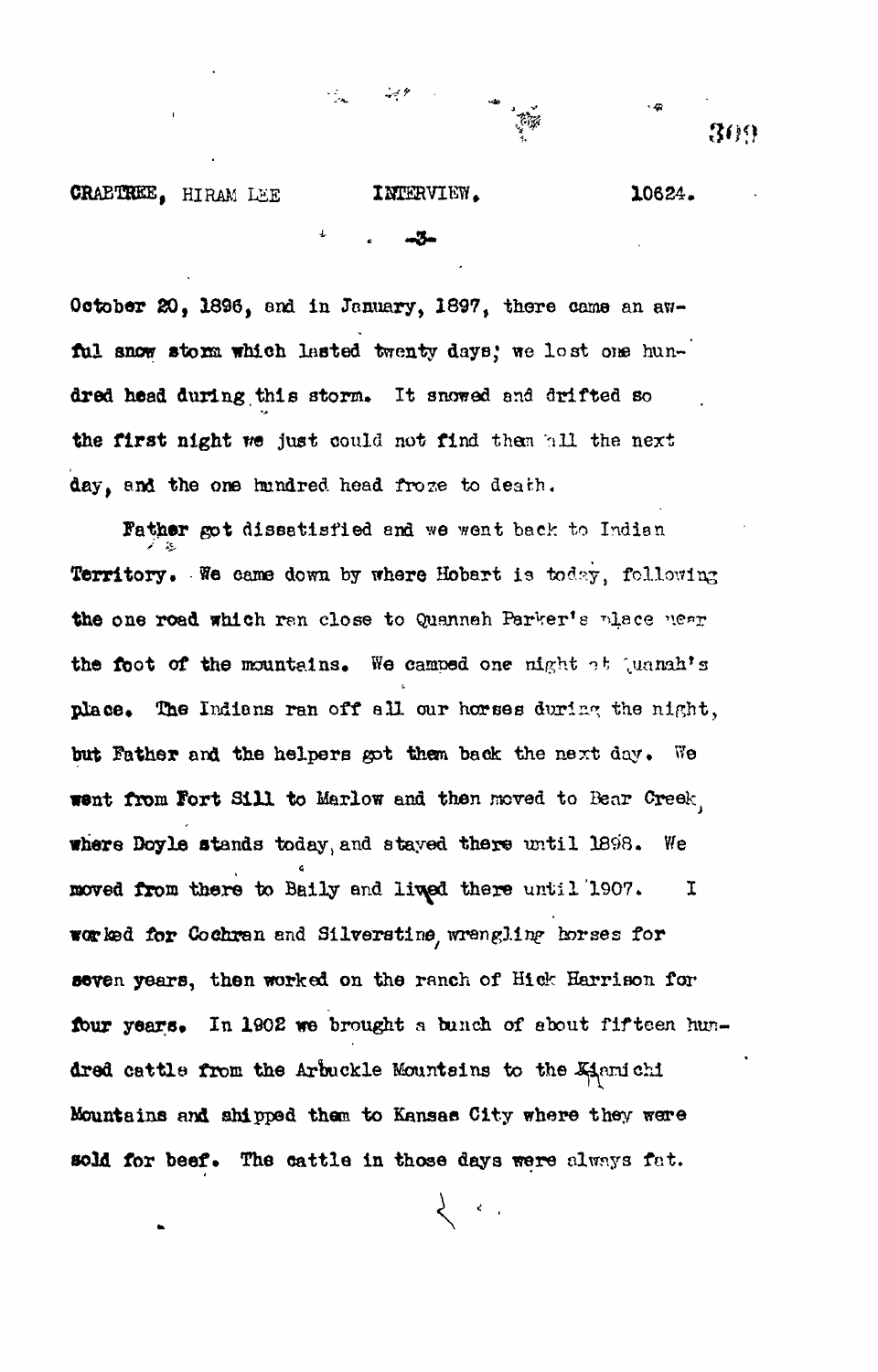# CRABTREE, HIRAM LEE **INTERVIEW.** 10624.

October 20, 1896, end in January, 1897, there came an awful snow storm which lasted twenty days; we lost one hundred head during,this storm. It snowed and drifted so the first night we just could not find them <sup>41</sup> the next day, and the one hundred head froze to death.

فلاعيتها

Father got dissatisfied and we went back to Indian *j* **15,** Territory. We came down by where Hobart is today, following the one road which ren close to Quannah Parker's place near the foot of the mountains. We camped one night it juanah's place. The Indians ran off all our horses during the night, but Father and the helpers got them back the next day. We went from Fort Sill to Marlow and then moved to Bear Creek<sub>J</sub> where Doyle stands today, and stayed there until 1898. We moved from there to Baily and lived there until 1907. I worked for Cochran and Silverstine, wrangling horses for seven years, then worked on the ranch of Hick Harrison for four years. In 1902 we brought a bunch of about fifteen hundred cattle from the Arbuckle Mountains to the Kannichi Mountains and shipped them to Kansas City where they were sold for beef. The cattle in those days were always fat.

309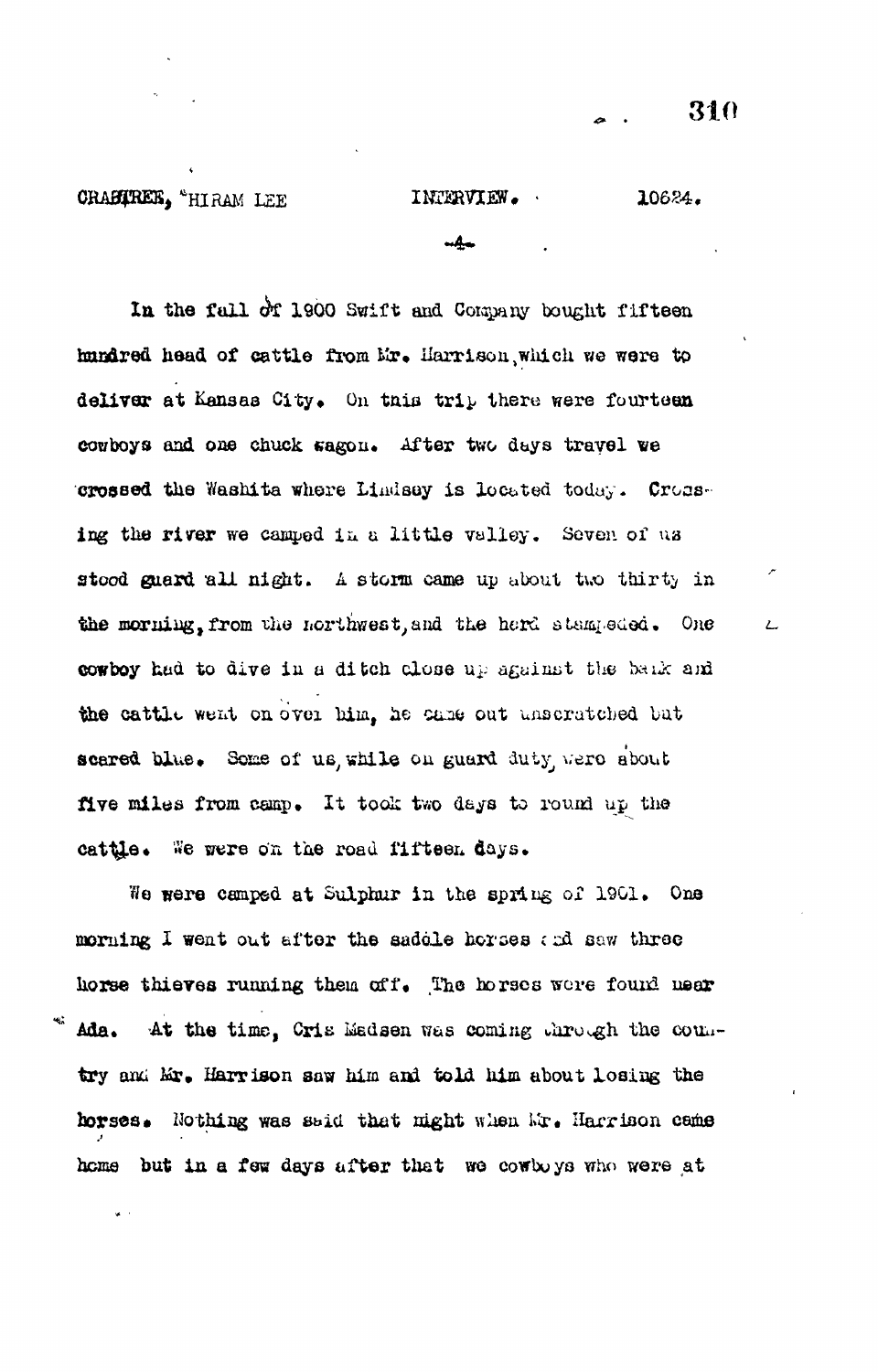```
CRABIREE, "HIRAM LEE INTERVIEW. 10624.
```
In the full of 1900 Swift and Company bought fifteen hundred head of cattle from Mr. Harrison which we were to deliver at Kansas City. On this trip there were fourteen cowboys and one chuck tagon. After two days travel we crossed the Washita where Lindsay is located today. Crossing the river we camped in a little valley. Seven of us stood guard all night. A storm came up about two thirty in the morning, from the northwest, and the herd stampeded. One L cowboy had to dive in a ditch close up against the bank and the cattle went on over him, he cane out unscratched but scared blue. Some of us, while on guard duty, were about five miles from camp. It took two days to round up the cattle. We were on the road fifteen days.

We were camped at Sulphur in the spring of 1901. One morning I went out after the saddle horses and saw three horse thieves running them off. The horses wore found mear Ada. At the time, Cris Madsen was coming whrowch the country and Mr. Harrison saw him and told him about losing the horses. Nothing was said that night when Mr. Harrison came home but in a few days after that we cowboys who were at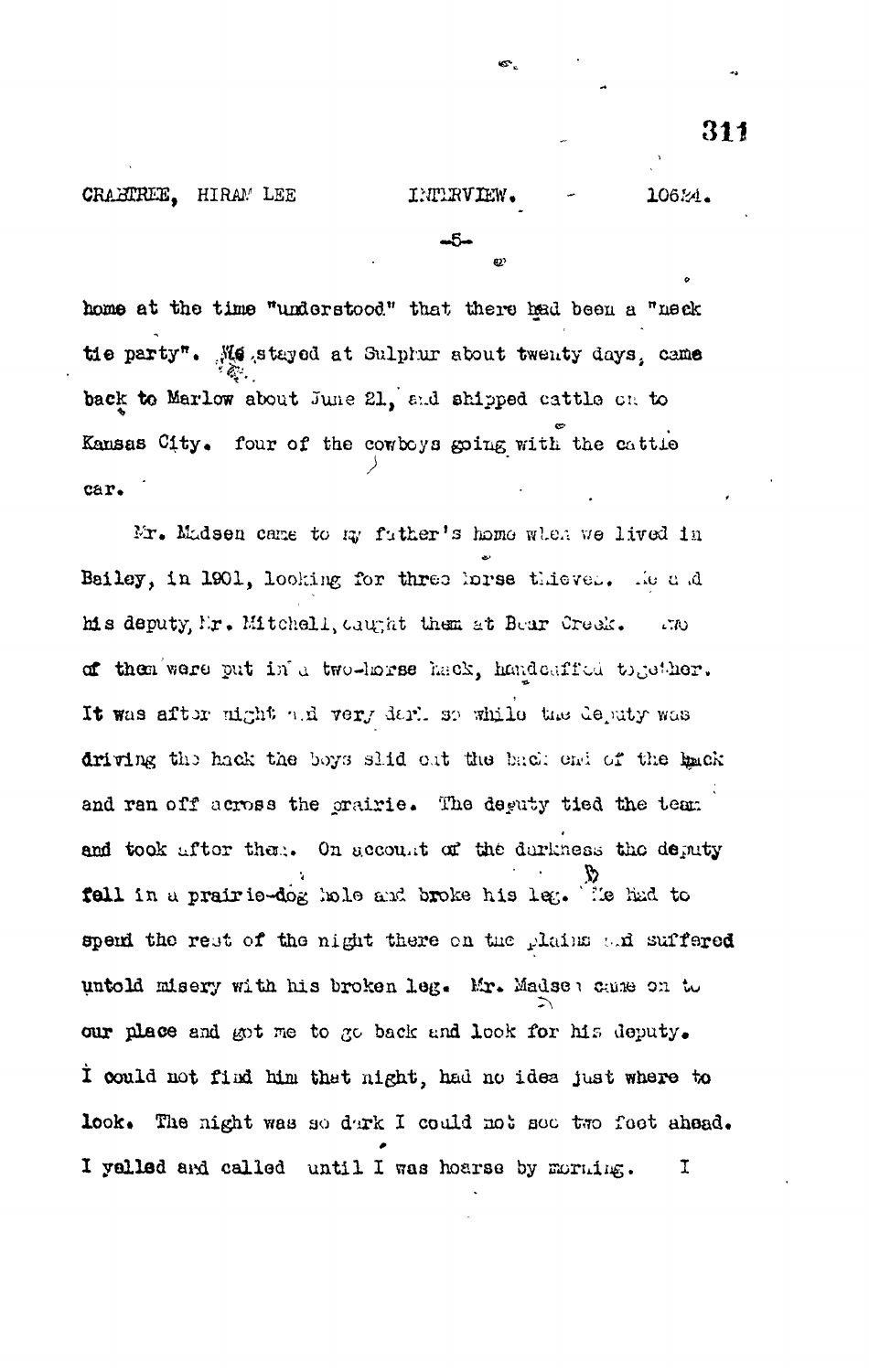### CRABIREE. HIRAM LEE

INTIRVIEW.

10614.

$$
5 -
$$

home at the time "understood" that there had been a "neck tie party". Me stayed at Sulphur about twenty days, came back to Marlow about June 21, and shipped cattle on to Kansas City. four of the cowboys going with the cattle car.

Mr. Madsen came to my futher's home when we lived in Bailey, in 1901, looking for three horse thieven. He and his deputy, Mr. Mitchell, caught them at Bear Creek. Mo of them were put in a two-horse hack, handcaffed together. It was after night and very dark so while the deputy was driving the hack the boys slid out the back end of the hack and ran off across the grairie. The deguty tied the team and took after them. On account of the durkness the deputy fell in a prairie-dog hole and broke his leg. The had to spend the rest of the night there on the plains and suffered untold misery with his broken leg. Mr. Madsen came on to our place and got me to go back and look for his deputy. I could not find him that night, had no idea just where to look. The night was so dark I could not see two feet ahead. I yelled and called until I was hoarse by morning. I

311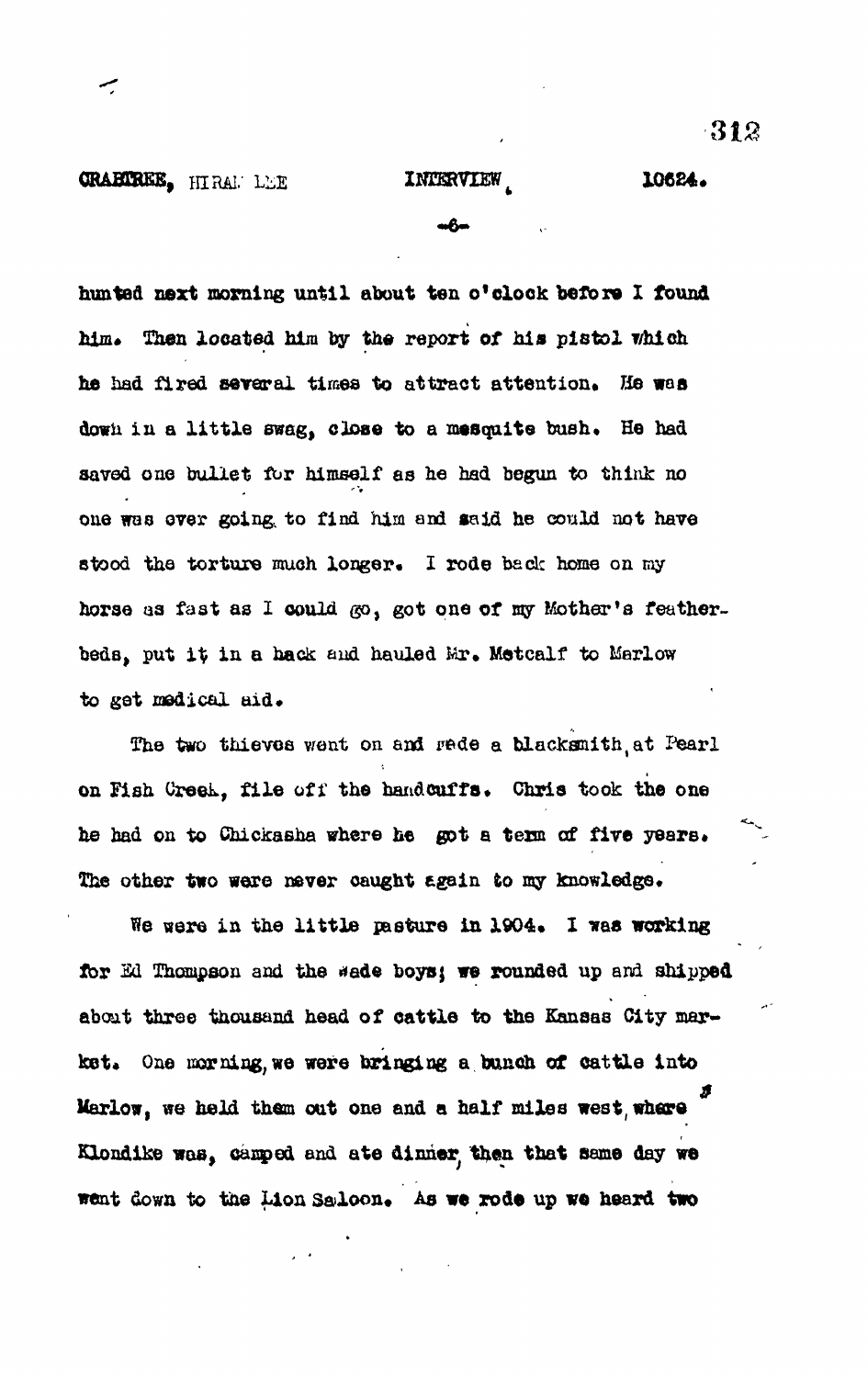مسر

hunted next morning until about ten o'clock before X found him. Then located him by the report of his pistol which he had fired several times to attract attention. He was down in a little swag, close to a mesquite bush. He had saved one bullet for himself as he had begun to think no one was over going to find him and said he could not have stood the torture much longer. I rode back home on my horse as fast as I could go, got one of my Mother's featherbeds, put it in a hack and hauled Mr. Metcalf to Marlow to get medical aid.

The two thieves went on and rede a blacksmith, at Pearl on Fish Creek, file off the handcuffs. Chris took the one he had on to Chickasha where he got a term of five years. The other two were never caught again to my knowledge.

We were in the little pasture in 1904. I was working for Ed Thompson and the #ade boys; we rounded up and shipped about three thousand head of cattle to the Kansas City market. One morning, we were bringing a bunch of cattle into Marlow, we held them out one and a half miles west, where Klondike was, camped and ate dinner then that same day we went down to the Lion Saloon. As we rode up we heard two